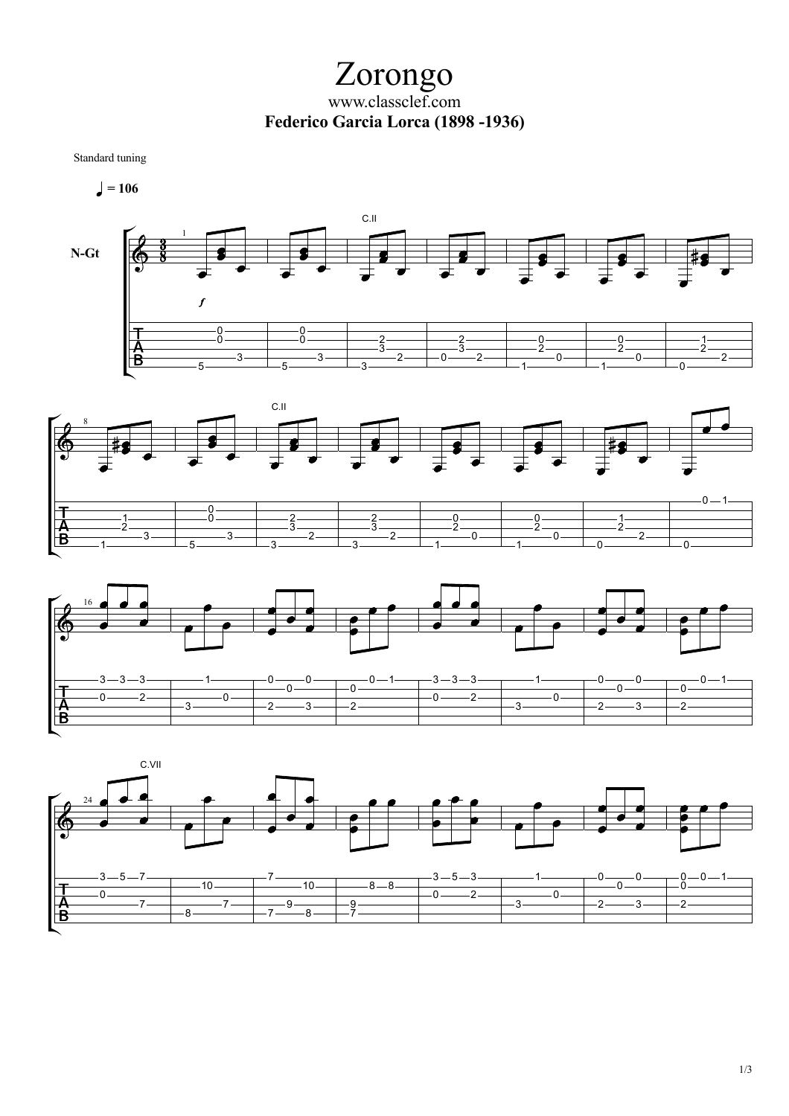Zorongo www.classclef.com **Federico Garcia Lorca (1898 -1936)**

Standard tuning

$$
\blacktriangleright = 106
$$







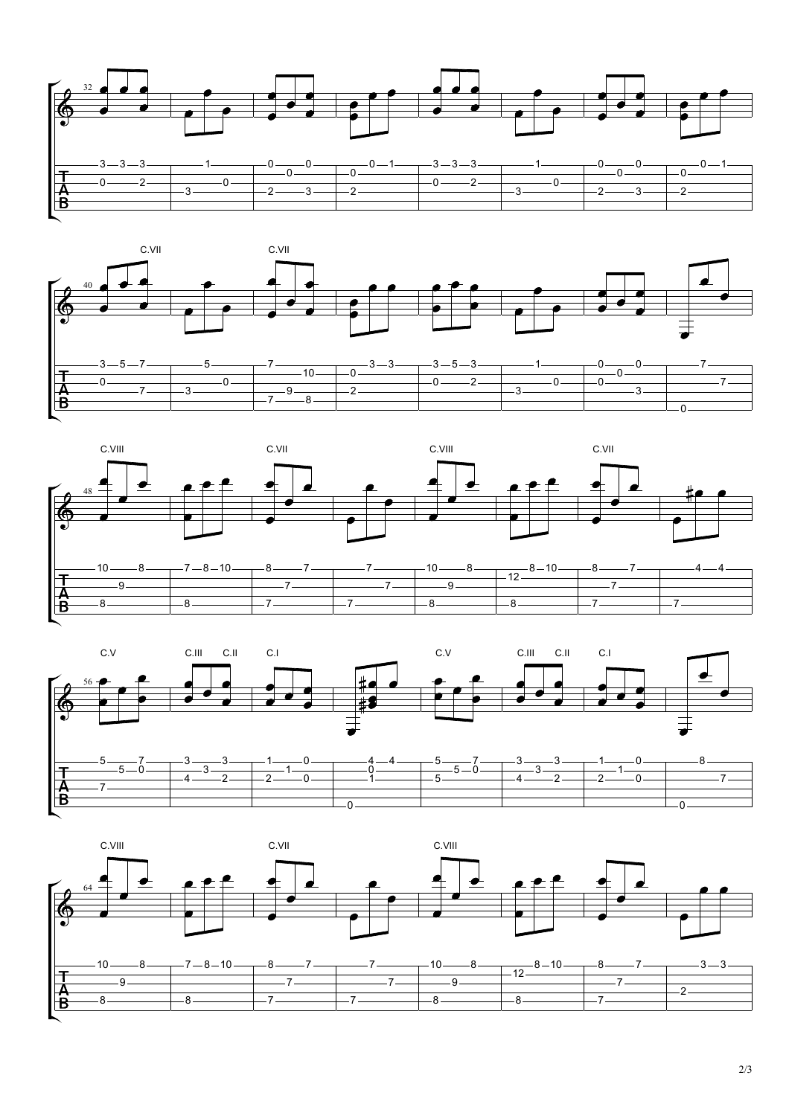